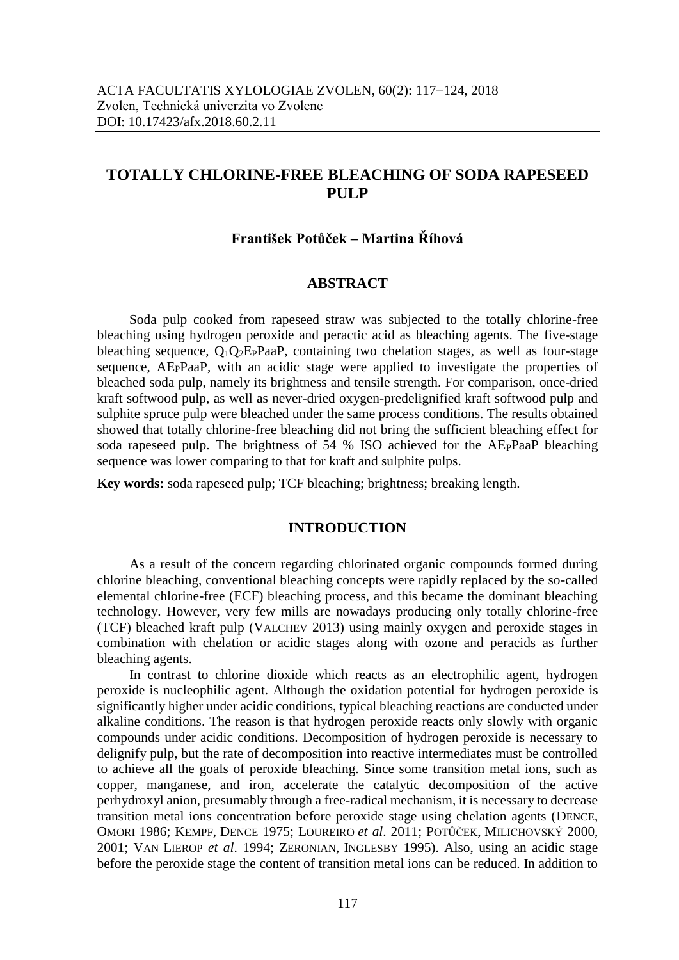# **TOTALLY CHLORINE-FREE BLEACHING OF SODA RAPESEED PULP**

## **František Potůček – Martina Říhová**

## **ABSTRACT**

Soda pulp cooked from rapeseed straw was subjected to the totally chlorine-free bleaching using hydrogen peroxide and peractic acid as bleaching agents. The five-stage bleaching sequence,  $Q_1Q_2E_PPaaP$ , containing two chelation stages, as well as four-stage sequence, AEPPaaP, with an acidic stage were applied to investigate the properties of bleached soda pulp, namely its brightness and tensile strength. For comparison, once-dried kraft softwood pulp, as well as never-dried oxygen-predelignified kraft softwood pulp and sulphite spruce pulp were bleached under the same process conditions. The results obtained showed that totally chlorine-free bleaching did not bring the sufficient bleaching effect for soda rapeseed pulp. The brightness of 54 % ISO achieved for the AEPPaaP bleaching sequence was lower comparing to that for kraft and sulphite pulps.

**Key words:** soda rapeseed pulp; TCF bleaching; brightness; breaking length.

## **INTRODUCTION**

As a result of the concern regarding chlorinated organic compounds formed during chlorine bleaching, conventional bleaching concepts were rapidly replaced by the so-called elemental chlorine-free (ECF) bleaching process, and this became the dominant bleaching technology. However, very few mills are nowadays producing only totally chlorine-free (TCF) bleached kraft pulp (VALCHEV 2013) using mainly oxygen and peroxide stages in combination with chelation or acidic stages along with ozone and peracids as further bleaching agents.

In contrast to chlorine dioxide which reacts as an electrophilic agent, hydrogen peroxide is nucleophilic agent. Although the oxidation potential for hydrogen peroxide is significantly higher under acidic conditions, typical bleaching reactions are conducted under alkaline conditions. The reason is that hydrogen peroxide reacts only slowly with organic compounds under acidic conditions. Decomposition of hydrogen peroxide is necessary to delignify pulp, but the rate of decomposition into reactive intermediates must be controlled to achieve all the goals of peroxide bleaching. Since some transition metal ions, such as copper, manganese, and iron, accelerate the catalytic decomposition of the active perhydroxyl anion, presumably through a free-radical mechanism, it is necessary to decrease transition metal ions concentration before peroxide stage using chelation agents (DENCE, OMORI 1986; KEMPF, DENCE 1975; LOUREIRO *et al*. 2011; POTŮČEK, MILICHOVSKÝ 2000, 2001; VAN LIEROP *et al*. 1994; ZERONIAN, INGLESBY 1995). Also, using an acidic stage before the peroxide stage the content of transition metal ions can be reduced. In addition to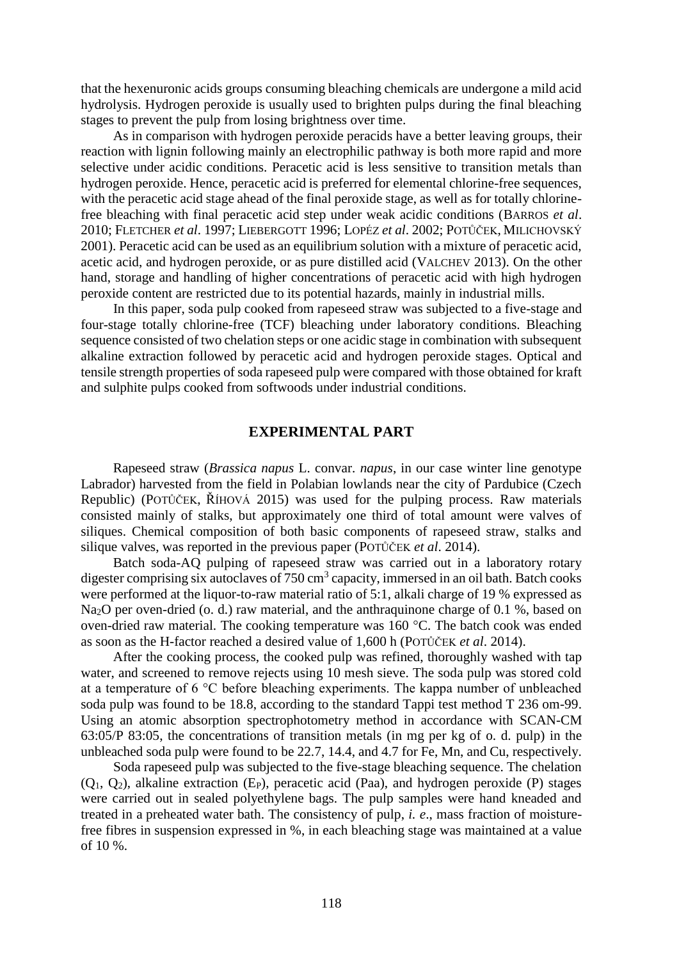that the hexenuronic acids groups consuming bleaching chemicals are undergone a mild acid hydrolysis. Hydrogen peroxide is usually used to brighten pulps during the final bleaching stages to prevent the pulp from losing brightness over time.

As in comparison with hydrogen peroxide peracids have a better leaving groups, their reaction with lignin following mainly an electrophilic pathway is both more rapid and more selective under acidic conditions. Peracetic acid is less sensitive to transition metals than hydrogen peroxide. Hence, peracetic acid is preferred for elemental chlorine-free sequences, with the peracetic acid stage ahead of the final peroxide stage, as well as for totally chlorinefree bleaching with final peracetic acid step under weak acidic conditions (BARROS *et al*. 2010; FLETCHER *et al*. 1997; LIEBERGOTT 1996; LOPÉZ *et al*. 2002; POTŮČEK, MILICHOVSKÝ 2001). Peracetic acid can be used as an equilibrium solution with a mixture of peracetic acid, acetic acid, and hydrogen peroxide, or as pure distilled acid (VALCHEV 2013). On the other hand, storage and handling of higher concentrations of peracetic acid with high hydrogen peroxide content are restricted due to its potential hazards, mainly in industrial mills.

In this paper, soda pulp cooked from rapeseed straw was subjected to a five-stage and four-stage totally chlorine-free (TCF) bleaching under laboratory conditions. Bleaching sequence consisted of two chelation steps or one acidic stage in combination with subsequent alkaline extraction followed by peracetic acid and hydrogen peroxide stages. Optical and tensile strength properties of soda rapeseed pulp were compared with those obtained for kraft and sulphite pulps cooked from softwoods under industrial conditions.

## **EXPERIMENTAL PART**

Rapeseed straw (*Brassica napus* L. convar. *napus*, in our case winter line genotype Labrador) harvested from the field in Polabian lowlands near the city of Pardubice (Czech Republic) (POTŮČEK, ŘÍHOVÁ 2015) was used for the pulping process. Raw materials consisted mainly of stalks, but approximately one third of total amount were valves of siliques. Chemical composition of both basic components of rapeseed straw, stalks and silique valves, was reported in the previous paper (POTŮČEK *et al*. 2014).

Batch soda-AQ pulping of rapeseed straw was carried out in a laboratory rotary digester comprising six autoclaves of 750 cm<sup>3</sup> capacity, immersed in an oil bath. Batch cooks were performed at the liquor-to-raw material ratio of 5:1, alkali charge of 19 % expressed as Na<sub>2</sub>O per oven-dried (o. d.) raw material, and the anthraquinone charge of 0.1 %, based on oven-dried raw material. The cooking temperature was 160 °C. The batch cook was ended as soon as the H-factor reached a desired value of 1,600 h (POTŮČEK *et al*. 2014).

After the cooking process, the cooked pulp was refined, thoroughly washed with tap water, and screened to remove rejects using 10 mesh sieve. The soda pulp was stored cold at a temperature of 6 °C before bleaching experiments. The kappa number of unbleached soda pulp was found to be 18.8, according to the standard Tappi test method T 236 om-99. Using an atomic absorption spectrophotometry method in accordance with SCAN-CM 63:05/P 83:05, the concentrations of transition metals (in mg per kg of o. d. pulp) in the unbleached soda pulp were found to be 22.7, 14.4, and 4.7 for Fe, Mn, and Cu, respectively.

Soda rapeseed pulp was subjected to the five-stage bleaching sequence. The chelation  $(Q_1, Q_2)$ , alkaline extraction  $(E_P)$ , peracetic acid (Paa), and hydrogen peroxide (P) stages were carried out in sealed polyethylene bags. The pulp samples were hand kneaded and treated in a preheated water bath. The consistency of pulp, *i. e*., mass fraction of moisturefree fibres in suspension expressed in %, in each bleaching stage was maintained at a value of 10 %.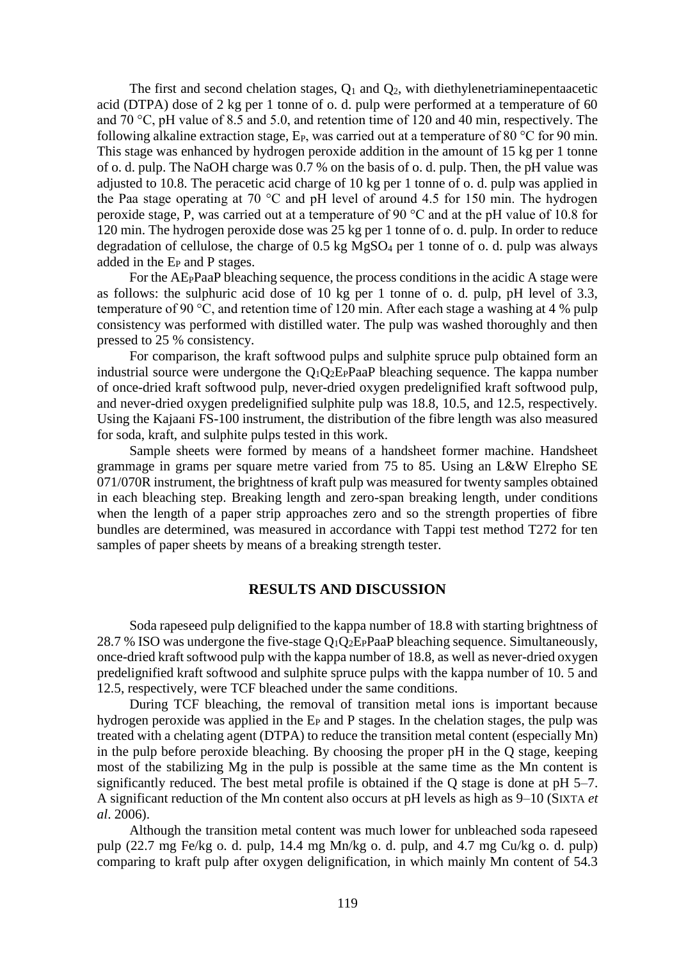The first and second chelation stages,  $Q_1$  and  $Q_2$ , with diethylenetriaminepentaacetic acid (DTPA) dose of 2 kg per 1 tonne of o. d. pulp were performed at a temperature of 60 and 70 °C, pH value of 8.5 and 5.0, and retention time of 120 and 40 min, respectively. The following alkaline extraction stage,  $E_P$ , was carried out at a temperature of 80 °C for 90 min. This stage was enhanced by hydrogen peroxide addition in the amount of 15 kg per 1 tonne of o. d. pulp. The NaOH charge was 0.7 % on the basis of o. d. pulp. Then, the pH value was adjusted to 10.8. The peracetic acid charge of 10 kg per 1 tonne of o. d. pulp was applied in the Paa stage operating at 70 °C and pH level of around 4.5 for 150 min. The hydrogen peroxide stage, P, was carried out at a temperature of 90 °C and at the pH value of 10.8 for 120 min. The hydrogen peroxide dose was 25 kg per 1 tonne of o. d. pulp. In order to reduce degradation of cellulose, the charge of  $0.5$  kg MgSO<sub>4</sub> per 1 tonne of o. d. pulp was always added in the E<sup>P</sup> and P stages.

For the AEPPaaP bleaching sequence, the process conditions in the acidic A stage were as follows: the sulphuric acid dose of 10 kg per 1 tonne of o. d. pulp, pH level of 3.3, temperature of 90 °C, and retention time of 120 min. After each stage a washing at 4 % pulp consistency was performed with distilled water. The pulp was washed thoroughly and then pressed to 25 % consistency.

For comparison, the kraft softwood pulps and sulphite spruce pulp obtained form an industrial source were undergone the  $Q_1Q_2E_PP$ aaP bleaching sequence. The kappa number of once-dried kraft softwood pulp, never-dried oxygen predelignified kraft softwood pulp, and never-dried oxygen predelignified sulphite pulp was 18.8, 10.5, and 12.5, respectively. Using the Kajaani FS-100 instrument, the distribution of the fibre length was also measured for soda, kraft, and sulphite pulps tested in this work.

Sample sheets were formed by means of a handsheet former machine. Handsheet grammage in grams per square metre varied from 75 to 85. Using an L&W Elrepho SE 071/070R instrument, the brightness of kraft pulp was measured for twenty samples obtained in each bleaching step. Breaking length and zero-span breaking length, under conditions when the length of a paper strip approaches zero and so the strength properties of fibre bundles are determined, was measured in accordance with Tappi test method T272 for ten samples of paper sheets by means of a breaking strength tester.

#### **RESULTS AND DISCUSSION**

Soda rapeseed pulp delignified to the kappa number of 18.8 with starting brightness of 28.7 % ISO was undergone the five-stage  $Q_1Q_2E_PPaaP$  bleaching sequence. Simultaneously, once-dried kraft softwood pulp with the kappa number of 18.8, as well as never-dried oxygen predelignified kraft softwood and sulphite spruce pulps with the kappa number of 10. 5 and 12.5, respectively, were TCF bleached under the same conditions.

During TCF bleaching, the removal of transition metal ions is important because hydrogen peroxide was applied in the  $E<sub>P</sub>$  and P stages. In the chelation stages, the pulp was treated with a chelating agent (DTPA) to reduce the transition metal content (especially Mn) in the pulp before peroxide bleaching. By choosing the proper pH in the Q stage, keeping most of the stabilizing Mg in the pulp is possible at the same time as the Mn content is significantly reduced. The best metal profile is obtained if the Q stage is done at pH 5–7. A significant reduction of the Mn content also occurs at pH levels as high as 9–10 (SIXTA *et al*. 2006).

Although the transition metal content was much lower for unbleached soda rapeseed pulp (22.7 mg Fe/kg o. d. pulp, 14.4 mg Mn/kg o. d. pulp, and 4.7 mg Cu/kg o. d. pulp) comparing to kraft pulp after oxygen delignification, in which mainly Mn content of 54.3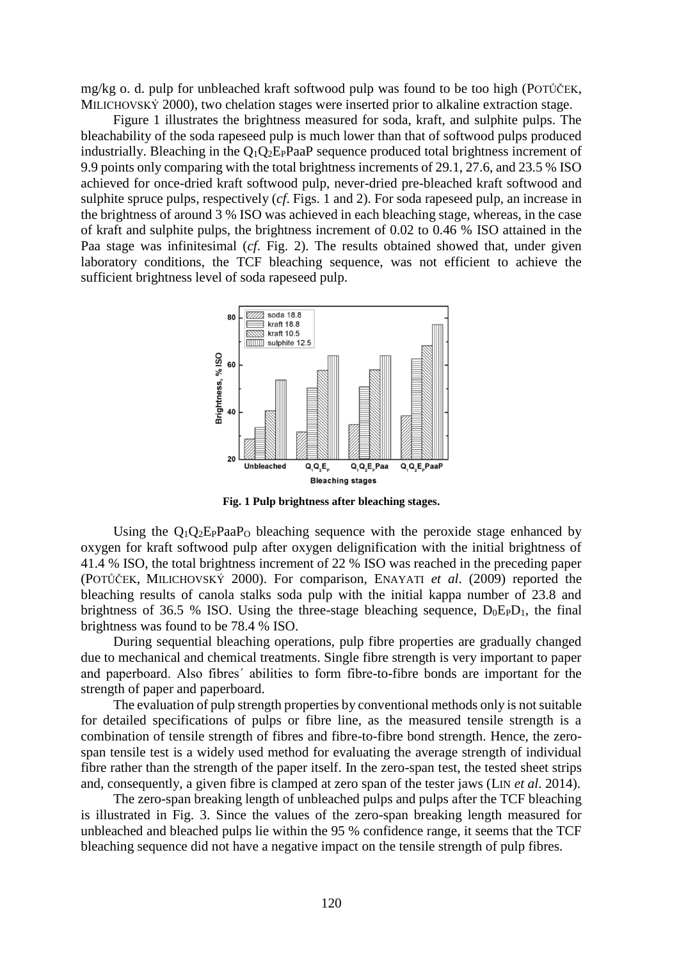mg/kg o. d. pulp for unbleached kraft softwood pulp was found to be too high (POTŮČEK, MILICHOVSKÝ 2000), two chelation stages were inserted prior to alkaline extraction stage.

Figure 1 illustrates the brightness measured for soda, kraft, and sulphite pulps. The bleachability of the soda rapeseed pulp is much lower than that of softwood pulps produced industrially. Bleaching in the  $Q_1Q_2E_1P_2P_3$  sequence produced total brightness increment of 9.9 points only comparing with the total brightness increments of 29.1, 27.6, and 23.5 % ISO achieved for once-dried kraft softwood pulp, never-dried pre-bleached kraft softwood and sulphite spruce pulps, respectively (*cf*. Figs. 1 and 2). For soda rapeseed pulp, an increase in the brightness of around 3 % ISO was achieved in each bleaching stage, whereas, in the case of kraft and sulphite pulps, the brightness increment of 0.02 to 0.46 % ISO attained in the Paa stage was infinitesimal (*cf*. Fig. 2). The results obtained showed that, under given laboratory conditions, the TCF bleaching sequence, was not efficient to achieve the sufficient brightness level of soda rapeseed pulp.



**Fig. 1 Pulp brightness after bleaching stages.**

Using the  $O_1O_2E_PPaaP_0$  bleaching sequence with the peroxide stage enhanced by oxygen for kraft softwood pulp after oxygen delignification with the initial brightness of 41.4 % ISO, the total brightness increment of 22 % ISO was reached in the preceding paper (POTŮČEK, MILICHOVSKÝ 2000). For comparison, ENAYATI *et al*. (2009) reported the bleaching results of canola stalks soda pulp with the initial kappa number of 23.8 and brightness of 36.5 % ISO. Using the three-stage bleaching sequence,  $D_0E_PD_1$ , the final brightness was found to be 78.4 % ISO.

During sequential bleaching operations, pulp fibre properties are gradually changed due to mechanical and chemical treatments. Single fibre strength is very important to paper and paperboard. Also fibres´ abilities to form fibre-to-fibre bonds are important for the strength of paper and paperboard.

The evaluation of pulp strength properties by conventional methods only is not suitable for detailed specifications of pulps or fibre line, as the measured tensile strength is a combination of tensile strength of fibres and fibre-to-fibre bond strength. Hence, the zerospan tensile test is a widely used method for evaluating the average strength of individual fibre rather than the strength of the paper itself. In the zero-span test, the tested sheet strips and, consequently, a given fibre is clamped at zero span of the tester jaws (LIN *et al*. 2014).

The zero-span breaking length of unbleached pulps and pulps after the TCF bleaching is illustrated in Fig. 3. Since the values of the zero-span breaking length measured for unbleached and bleached pulps lie within the 95 % confidence range, it seems that the TCF bleaching sequence did not have a negative impact on the tensile strength of pulp fibres.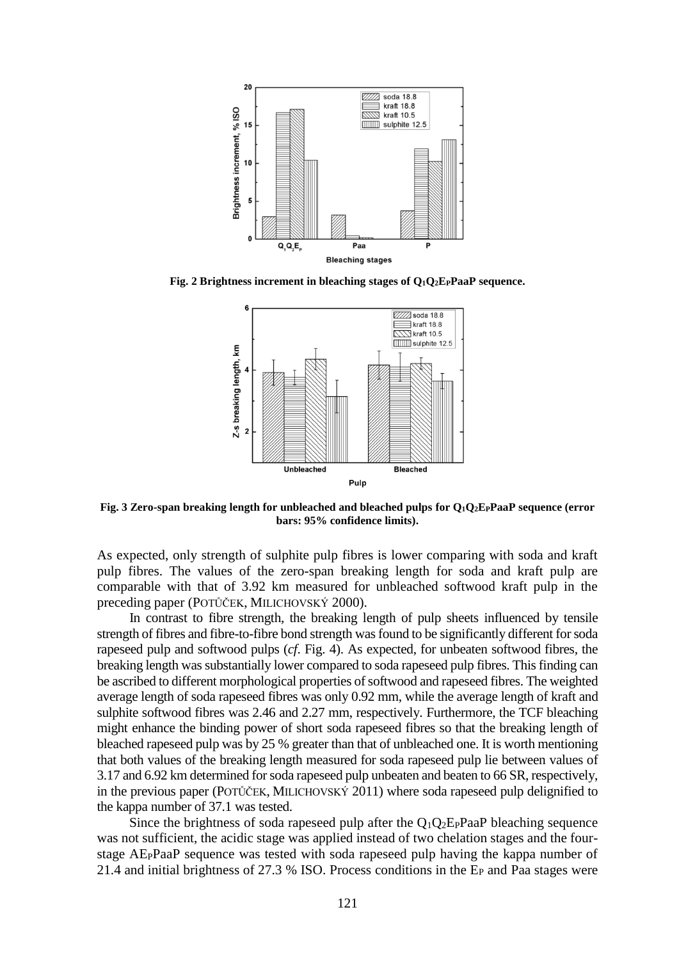

**Fig. 2 Brightness increment in bleaching stages of Q1Q2EPPaaP sequence.**



**Fig. 3 Zero-span breaking length for unbleached and bleached pulps for Q1Q2EPPaaP sequence (error bars: 95% confidence limits).**

As expected, only strength of sulphite pulp fibres is lower comparing with soda and kraft pulp fibres. The values of the zero-span breaking length for soda and kraft pulp are comparable with that of 3.92 km measured for unbleached softwood kraft pulp in the preceding paper (POTŮČEK, MILICHOVSKÝ 2000).

In contrast to fibre strength, the breaking length of pulp sheets influenced by tensile strength of fibres and fibre-to-fibre bond strength was found to be significantly different for soda rapeseed pulp and softwood pulps (*cf*. Fig. 4). As expected, for unbeaten softwood fibres, the breaking length was substantially lower compared to soda rapeseed pulp fibres. This finding can be ascribed to different morphological properties of softwood and rapeseed fibres. The weighted average length of soda rapeseed fibres was only 0.92 mm, while the average length of kraft and sulphite softwood fibres was 2.46 and 2.27 mm, respectively. Furthermore, the TCF bleaching might enhance the binding power of short soda rapeseed fibres so that the breaking length of bleached rapeseed pulp was by 25 % greater than that of unbleached one. It is worth mentioning that both values of the breaking length measured for soda rapeseed pulp lie between values of 3.17 and 6.92 km determined for soda rapeseed pulp unbeaten and beaten to 66 SR, respectively, in the previous paper (POTŮČEK, MILICHOVSKÝ 2011) where soda rapeseed pulp delignified to the kappa number of 37.1 was tested.

Since the brightness of soda rapeseed pulp after the  $Q_1Q_2E_PP$  and bleaching sequence was not sufficient, the acidic stage was applied instead of two chelation stages and the fourstage AEPPaaP sequence was tested with soda rapeseed pulp having the kappa number of 21.4 and initial brightness of 27.3 % ISO. Process conditions in the E<sup>P</sup> and Paa stages were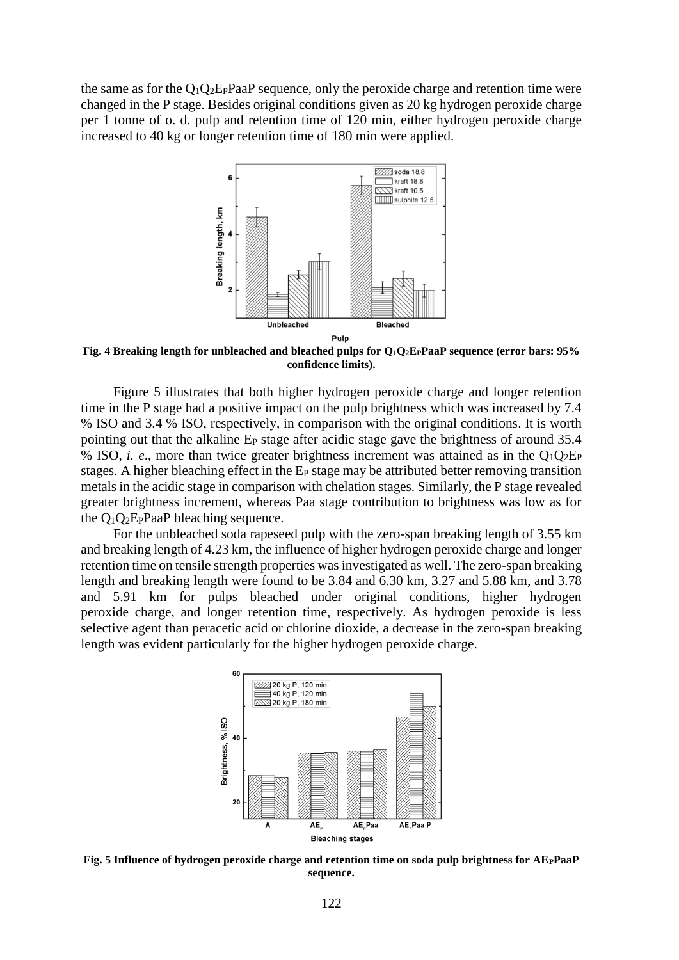the same as for the  $Q_1Q_2E_PP$ aaP sequence, only the peroxide charge and retention time were changed in the P stage. Besides original conditions given as 20 kg hydrogen peroxide charge per 1 tonne of o. d. pulp and retention time of 120 min, either hydrogen peroxide charge increased to 40 kg or longer retention time of 180 min were applied.



**Fig. 4 Breaking length for unbleached and bleached pulps for Q1Q2EPPaaP sequence (error bars: 95% confidence limits).**

Figure 5 illustrates that both higher hydrogen peroxide charge and longer retention time in the P stage had a positive impact on the pulp brightness which was increased by 7.4 % ISO and 3.4 % ISO, respectively, in comparison with the original conditions. It is worth pointing out that the alkaline E<sub>P</sub> stage after acidic stage gave the brightness of around 35.4 % ISO, *i. e.*, more than twice greater brightness increment was attained as in the  $Q_1Q_2E_P$ stages. A higher bleaching effect in the  $E<sub>P</sub>$  stage may be attributed better removing transition metals in the acidic stage in comparison with chelation stages. Similarly, the P stage revealed greater brightness increment, whereas Paa stage contribution to brightness was low as for the  $O_1O_2E_PP$ aaP bleaching sequence.

For the unbleached soda rapeseed pulp with the zero-span breaking length of 3.55 km and breaking length of 4.23 km, the influence of higher hydrogen peroxide charge and longer retention time on tensile strength properties was investigated as well. The zero-span breaking length and breaking length were found to be 3.84 and 6.30 km, 3.27 and 5.88 km, and 3.78 and 5.91 km for pulps bleached under original conditions, higher hydrogen peroxide charge, and longer retention time, respectively. As hydrogen peroxide is less selective agent than peracetic acid or chlorine dioxide, a decrease in the zero-span breaking length was evident particularly for the higher hydrogen peroxide charge.



**Fig. 5 Influence of hydrogen peroxide charge and retention time on soda pulp brightness for AEPPaaP sequence.**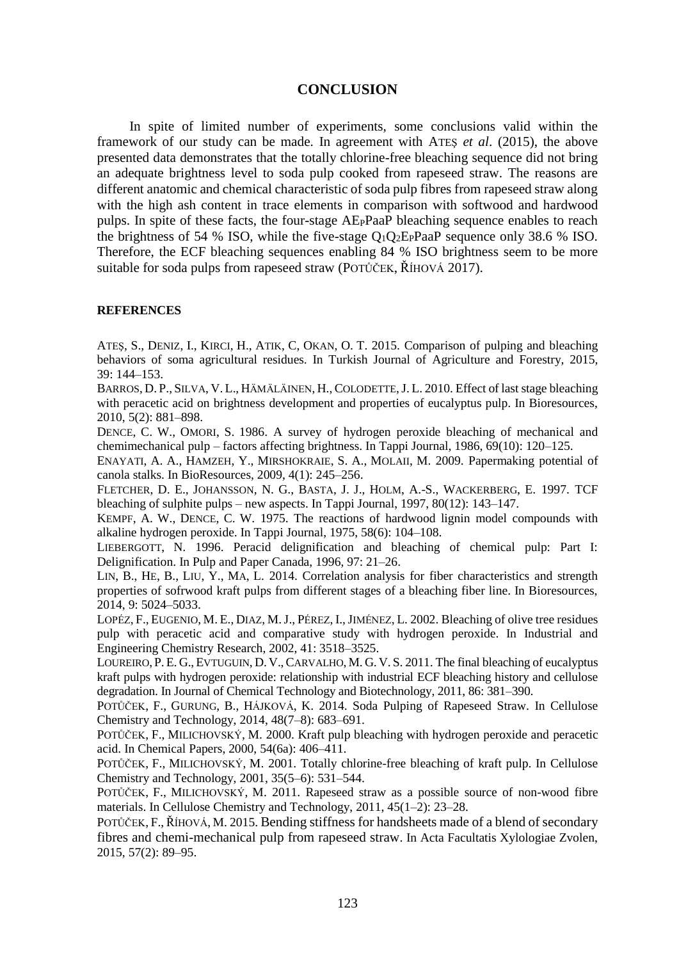### **CONCLUSION**

In spite of limited number of experiments, some conclusions valid within the framework of our study can be made. In agreement with ATEŞ *et al*. (2015), the above presented data demonstrates that the totally chlorine-free bleaching sequence did not bring an adequate brightness level to soda pulp cooked from rapeseed straw. The reasons are different anatomic and chemical characteristic of soda pulp fibres from rapeseed straw along with the high ash content in trace elements in comparison with softwood and hardwood pulps. In spite of these facts, the four-stage AEPPaaP bleaching sequence enables to reach the brightness of 54 % ISO, while the five-stage  $Q_1Q_2E_1P_2P_3$  sequence only 38.6 % ISO. Therefore, the ECF bleaching sequences enabling 84 % ISO brightness seem to be more suitable for soda pulps from rapeseed straw (POTŮČEK, ŘÍHOVÁ 2017).

#### **REFERENCES**

ATEŞ, S., DENIZ, I., KIRCI, H., ATIK, C, OKAN, O. T. 2015. Comparison of pulping and bleaching behaviors of soma agricultural residues. In Turkish Journal of Agriculture and Forestry, 2015, 39: 144–153.

BARROS, D. P., SILVA, V. L., HÄMÄLÄINEN, H., COLODETTE, J. L. 2010. Effect of last stage bleaching with peracetic acid on brightness development and properties of eucalyptus pulp. In Bioresources, 2010, 5(2): 881–898.

DENCE, C. W., OMORI, S. 1986. A survey of hydrogen peroxide bleaching of mechanical and chemimechanical pulp – factors affecting brightness. In Tappi Journal, 1986, 69(10): 120–125.

ENAYATI, A. A., HAMZEH, Y., MIRSHOKRAIE, S. A., MOLAII, M. 2009. Papermaking potential of canola stalks. In BioResources, 2009, 4(1): 245–256.

FLETCHER, D. E., JOHANSSON, N. G., BASTA, J. J., HOLM, A.-S., WACKERBERG, E. 1997. TCF bleaching of sulphite pulps – new aspects. In Tappi Journal, 1997, 80(12): 143–147.

KEMPF, A. W., DENCE, C. W. 1975. The reactions of hardwood lignin model compounds with alkaline hydrogen peroxide. In Tappi Journal, 1975, 58(6): 104–108.

LIEBERGOTT, N. 1996. Peracid delignification and bleaching of chemical pulp: Part I: Delignification. In Pulp and Paper Canada, 1996, 97: 21–26.

LIN, B., HE, B., LIU, Y., MA, L. 2014. Correlation analysis for fiber characteristics and strength properties of sofrwood kraft pulps from different stages of a bleaching fiber line. In Bioresources, 2014, 9: 5024–5033.

LOPÉZ, F., EUGENIO, M. E., DIAZ, M.J., PÉREZ, I.,JIMÉNEZ, L. 2002. Bleaching of olive tree residues pulp with peracetic acid and comparative study with hydrogen peroxide. In Industrial and Engineering Chemistry Research, 2002, 41: 3518–3525.

LOUREIRO, P. E. G., EVTUGUIN, D. V.,CARVALHO, M. G. V. S. 2011. The final bleaching of eucalyptus kraft pulps with hydrogen peroxide: relationship with industrial ECF bleaching history and cellulose degradation. In Journal of Chemical Technology and Biotechnology, 2011, 86: 381–390.

POTŮČEK, F., GURUNG, B., HÁJKOVÁ, K. 2014. Soda Pulping of Rapeseed Straw. In Cellulose Chemistry and Technology, 2014, 48(7–8): 683–691.

POTŮČEK, F., MILICHOVSKÝ, M. 2000. Kraft pulp bleaching with hydrogen peroxide and peracetic acid. In Chemical Papers, 2000, 54(6a): 406–411.

POTŮČEK, F., MILICHOVSKÝ, M. 2001. Totally chlorine-free bleaching of kraft pulp. In Cellulose Chemistry and Technology, 2001, 35(5–6): 531–544.

POTŮČEK, F., MILICHOVSKÝ, M. 2011. Rapeseed straw as a possible source of non-wood fibre materials. In Cellulose Chemistry and Technology, 2011, 45(1–2): 23–28.

POTŮČEK, F., ŘÍHOVÁ, M. 2015. Bending stiffness for handsheets made of a blend of secondary fibres and chemi-mechanical pulp from rapeseed straw. In Acta Facultatis Xylologiae Zvolen, 2015, 57(2): 89–95.